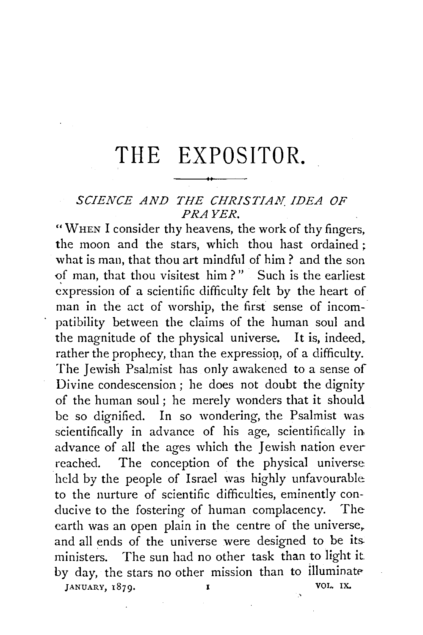## **THE EXPOSITOR.**

## *SCIENCE AND THE CHRISTIAN. IDEA OF PRAYER.*

"WHEN I consider thy heavens, the work of thy fingers, the moon and the stars, which thou hast ordained ; what is man, that thou art mindful of him? and the son of man, that thou visitest him?" Such is the earliest expression of a scientific difficulty felt by the heart of man in the act of worship, the first sense of incompatibility between the claims of the human soul and the magnitude of the physical universe. It is, indeed, rather the prophecy, than the expression, of a difficulty. The Jewish Psalmist has only awakened to a sense of Divine condescension; he does not doubt the dignity of the human soul ; he merely wonders that it should be so dignified. In so wondering, the Psalmist was scientifically in advance of his age, scientifically in. advance of all the ages which the Jewish nation ever reached. The conception of the physical universe held by the people of Israel was highly unfavourable: to the nurture of scientific difficulties, eminently conducive to the fostering of human complacency. The earth was an open plain in the centre of the universe, and all ends of the universe were designed to be its. ministers. The sun had no other task than to light it. by day, the stars no other mission than to illuminate JANUARY, 1879. **I** VOL. IX.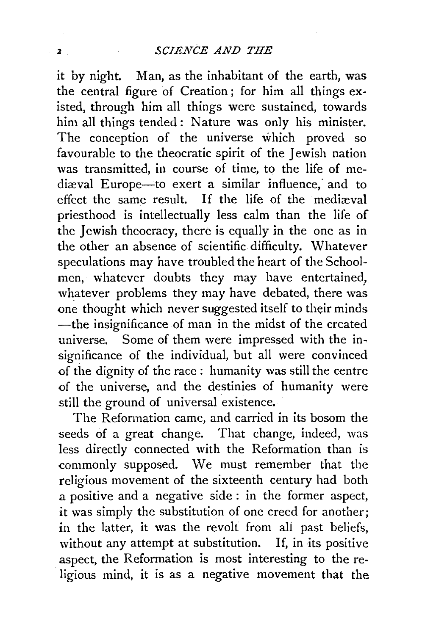it by night. Man, as the inhabitant of the earth, was the central figure of Creation ; for him all things existed, through him all things were sustained, towards him all things tended: Nature was only his minister. The conception of the universe which proved so favourable to the theocratic spirit of the Jewish nation was transmitted, in course of time, to the life of mcdiæval Europe-to exert a similar influence, and to effect the same result. If the life of the mediaval priesthood is intellectually less calm than the life of the Jewish theocracy, there is equally in the one as in the other an absence of scientific difficulty. Whatever speculations may have troubled the heart of the Schoolmen, whatever doubts they may have entertained, whatever problems they may have debated, there was one thought which never suggested itself to their minds -the insignificance of man in the midst of the created universe. Some of them were impressed with the insignificance of the individual, but all were convinced of the dignity of the race : humanity was still the centre of the universe, and the destinies of humanity were still the ground of universal existence.

The Reformation came, and carried in its bosom the seeds of a great change. That change, indeed, was less directly connected with the Reformation than is commonly supposed. We must remember that the religious movement of the sixteenth century had both a positive and a negative side : in the former aspect, it was simply the substitution of one creed for another; in the latter, it was the revolt from ali past beliefs, without any attempt at substitution. If, in its positive aspect, the Reformation is most interesting to the religious mind, it is as a negative movement that the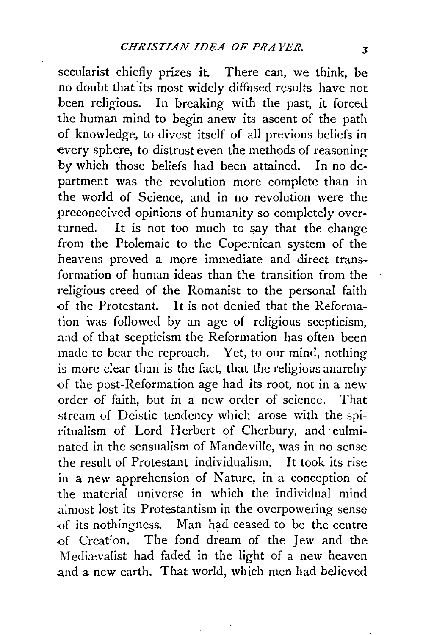secularist chiefly prizes it. There can, we think, be no doubt that its most widely diffused results have not been religious. In breaking with the past, it forced the human mind to begin anew its ascent of the path of knowledge, to divest itself of all previous beliefs in every sphere, to distrust even the methods of reasoning by which those beliefs had been attained. In no department was the revolution more complete than in the world of Science, and in no revolution were the preconceived opinions of humanity so completely overturned. It is not too much to say that the change from the Ptolemaic to the Copernican system of the heavens proved a more immediate and direct transformation of human ideas than the transition from the religious creed of the Romanist to the personal faith -0f the Protestant. It is not denied that the Reformation \vas followed by an age of religious scepticism, .and of that scepticism the Reformation has often been made to bear the reproach. Yet, to our mind, nothing is more clear than is the fact, that the religious anarchy -0f the post-Reformation age had its root, not in a new order of faith, but in a new order of science. That stream of Deistic tendency which arose with the spiritualism of Lord Herbert of Cherbury, and culminated in the sensualism of Mandeville, was in no sense the result of Protestant individualism. It took its rise in a new apprehension of Nature, in a conception of the material universe in which the individual mind .almost lost its Protestantism in the overpowering sense of its nothingness. Man had ceased to be the centre -of Creation. The fond dream of the Jew and the Medicevalist had faded in the light of a new heaven .and a new earth. That world, which men had believed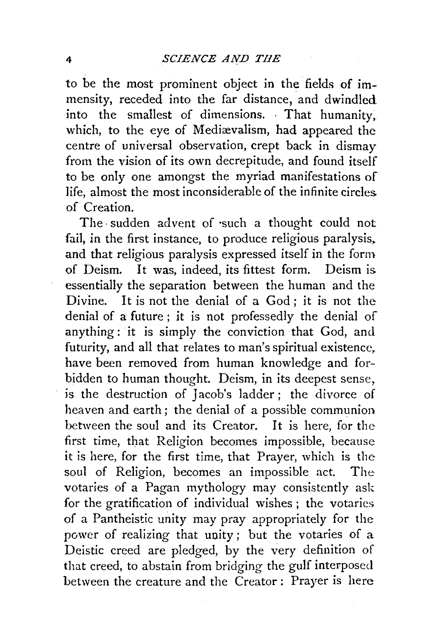to be the most prominent object in the fields of immensity, receded into the far distance, and dwindled into the smallest of dimensions. That humanity, which, to the eye of Mediævalism, had appeared the centre of universal observation, crept back in dismay from the vision of its own decrepitude, and found itself to be only one amongst the myriad manifestations of life, almost the most inconsiderable of the infinite circles. of Creation.

The, sudden advent of ·such a thought could not fail, in the first instance, to produce religious paralysis. and that religious paralysis expressed itself in the form of Deism. It was, indeed, its fittest form. Deism is essentially the separation between the human and the Divine. It is not the denial of a God; it is not the denial of a future ; it is not professedly the denial of anything: it is simply the conviction that God, and futurity, and all that relates to man's spiritual existence. have been removed from human knowledge and forbidden to human thought. Deism, in its deepest sense, is the destruction of Jacob's ladder; the divorce of heaven and earth ; the denial of a possible communion between the soul and its Creator. It is here, for the first time, that Religion becomes impossible, because it is here, for the first time, that Prayer, which is the soul of Religion, becomes an impossible act. The votaries of a Pagan mythology may consistently ask for the gratification of individual wishes ; the votaries of a Pantheistic unity may pray appropriately for the power of realizing that unity ; but the votaries of a Deistic creed are pledged, by the very definition of that creed, to abstain from bridging the gulf interposed between the creature and the Creator : Prayer is here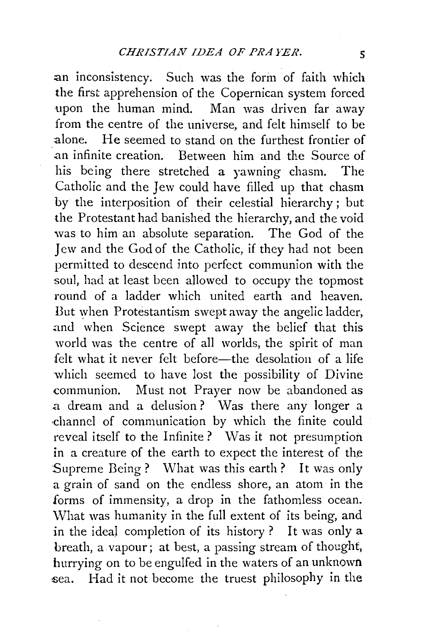an inconsistency. Such was the form of faith which the first apprehension of the Copernican system forced upon the human mind. Man was driven far away from the centre of the universe, and felt himself to be :alone. He seemed to stand on the furthest frontier of .an infinite creation. Between him and the Source of his being there stretched a yawning chasm. The Catholic and the Jew could have filled up that chasm by the interposition of their celestial hierarchy ; but the Protestant had banished the hierarchy, and the void was to him an absolute separation. The God of the Jew and the God of the Catholic, if they had not been permitted to descend into perfect communion with the soul, had at least been allowed to occupy the topmost round of a ladder which united earth and heaven. But when Protestantism swept away the angelic ladder, .and when Science swept away the belief that this world was the centre of all worlds, the spirit of man felt what it never felt before—the desolation of a life which seemed to have lost the possibility of Divine communion. Must not Prayer now be abandoned as a dream and a delusion? Was there any longer a ·channel of communication by which the finite could reveal itself to the Infinite? Was it not presumption in a creature of the earth to expect the interest of the Supreme Being? What was this earth? It was only a grain of sand on the endless shore, an atom in the forms of immensity, a drop in the fathomless ocean. What was humanity in the full extent of its being, and in the ideal completion of its history? It was only a breath, a vapour; at best, a passing stream of thought, hurrying on to be engulfed in the waters of an unknown sea. Had it not become the truest philosophy in the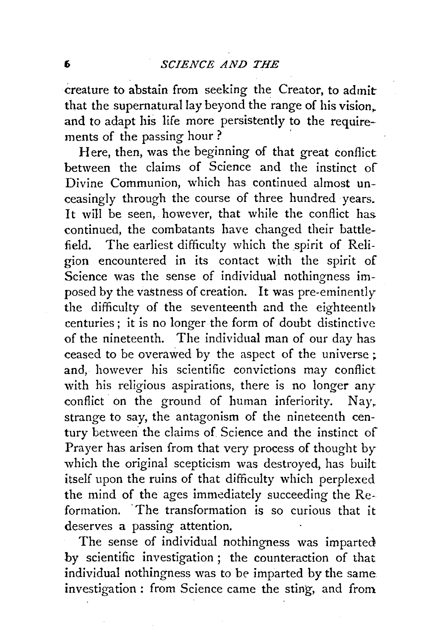creature to abstain from seeking the Creator, to admit that the supernatural lay beyond the range of his vision,. and to adapt his life more persistently to the requirements of the passing hour ?

Here, then, was the beginning of that great conflict between the claims of Science and the instinct of Divine Communion, which has continued almost unceasingly through the course of three hundred years. It will be seen, however, that while the conflict has. continued, the combatants have changed their battlefield. The earliest difficulty which the spirit of Religion encountered in its contact with the spirit of Science was the sense of individual nothingness imposed by the vastness of creation. It was pre-eminently the difficulty of the seventeenth and the eighteenth centuries; it is no longer the form of doubt distinctive of the nineteenth. The individual man of our day has ceased to be overawed by the aspect of the universe; and, however his scientific convictions may conflict with his religious aspirations, there is no longer any conflict on the ground of human inferiority. Nay. strange to say, the antagonism of the nineteenth century between the claims of Science and the instinct of Prayer has arisen from that very process of thought by which the original scepticism was destroyed, has built itself upon the ruins of that difficulty which perplexed the mind of the ages immediately succeeding the  $Re$ formation. The transformation is so curious that it deserves a passing attention.

The sense of individual nothingness was imparted. by scientific investigation ; the counteraction of that individual nothingness was to be imparted by the same investigation : from Science came the sting, and from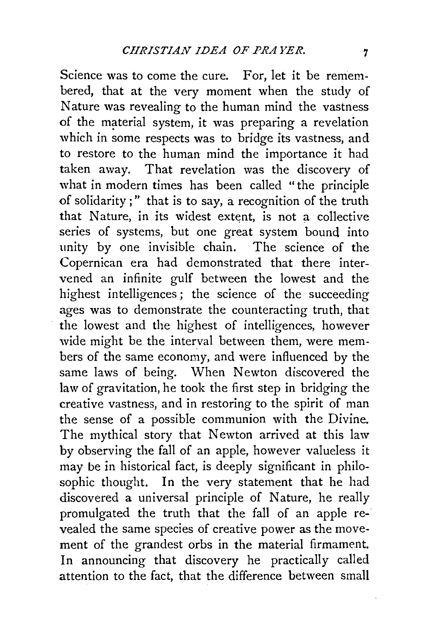Science was to come the cure. For, let it be remembered, that at the very moment when the study of Nature was revealing to the human mind the vastness of the material system, it was preparing a revelation which in some respects was to bridge its vastness, and to restore to the human mind the importance it had taken away. That revelation was the discovery of what in modern times has been called "the principle of solidarity ; " that is to say, a recognition of the truth that Nature, in its widest extent, is not a collective series of systems, but one great system bound into unity by one invisible chain. The science of the Copernican era had demonstrated that there intervened an infinite gulf between the lowest and the highest intelligences; the science of the succeeding ages was to demonstrate the counteracting truth, that the lowest and the highest of intelligences, however wide might be the interval between them, were members of the same economy, and were influenced by the same laws of being. When Newton discovered the law of gravitation, he took the first step in bridging the creative vastness, and in restoring to the spirit of man the sense of a possible communion with the Divine. The mythical story that Newton arrived at this law by observing the fall of an apple, however valueless it may be in historical fact, is deeply significant in philosophic thought. In the very statement that he had discovered a universal principle of Nature, he really promulgated the truth that the fall of an apple revealed the same species of creative power as the movement of the grandest orbs in the material firmament. In announcing that discovery he practically called attention to the fact, that the difference between small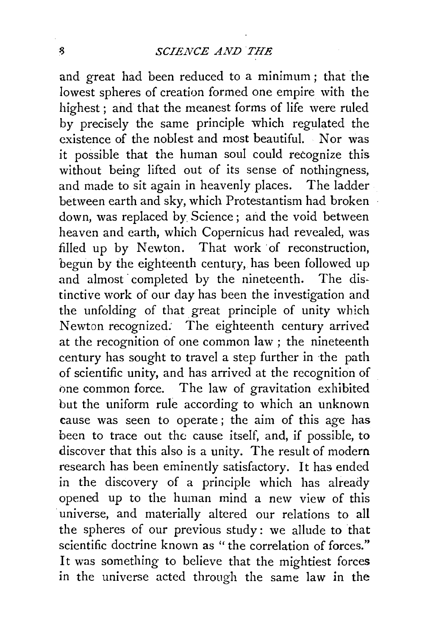and great had been reduced to a minimum; that the lowest spheres of creation formed one empire with the highest ; and that the meanest forms of life were ruled by precisely the same principle which regulated the existence of the noblest and most beautiful. Nor was it possible that the human soul could recognize this without being lifted out of its sense of nothingness, and made to sit again in heavenly places. The ladder between earth and sky, which Protestantism had broken down, was replaced by Science; and the void between heaven and earth, which Copernicus had revealed, was filled up by Newton. That work of reconstruction. begun by the eighteenth century, has been followed up and almost completed by the nineteenth. The distinctive work of our day has been the investigation and the unfolding of that great principle of unity which Newton recognized: The eighteenth century arrived at the recognition of one common law ; the nineteenth century has sought to travel a step further in the path of scientific unity, and has arrived at the recognition of one common force. The law of gravitation exhibited but the uniform rule according to which an unknown cause was seen to operate ; the aim of this age has been to trace out the cause itself, and, if possible, to discover that this also is a unity. The result of modern research has been eminently satisfactory. It has ended in the discovery of a principle which has already opened up to the human mind a new view of this universe, and materially altered our relations to all the spheres of our previous study: we allude to that scientific doctrine known as "the correlation of forces." It was something to believe that the mightiest forces in the universe acted through the same law in the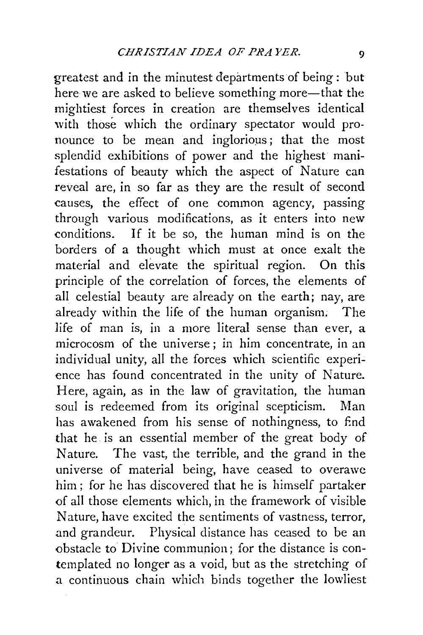greatest and in the minutest departments of being : but here we are asked to believe something more—that the mightiest forces in creation are themselves identical with those which the ordinary spectator would pronounce to be mean and inglorious; that the most splendid exhibitions of power and the highest manifestations of beauty which the aspect of Nature can reveal are, in so far as they are the result of second causes, the effect of one common agency, passing through various modifications, as it enters into new conditions. If it be so, the human mind is on the borders of a thought which must at once exalt the material and elevate the spiritual region. On this principle of the correlation of forces, the elements of all celestial beauty are already on the earth; nay, are already within the life of the human organism; The life of man is, in a more literal sense than ever, a microcosm of the universe ; in him concentrate, in an individual unity, all the forces which scientific experience has found concentrated in the unity of Nature. Here, again, as in the law of gravitation, the human soul is redeemed from its original scepticism. Man has awakened from his sense of nothingness, to End that he is an essential member of the great body of Nature. The vast, the terrible, and the grand in the universe of material being, have ceased to overawe him ; for he has discovered that he is himself partaker of all those elements which, in the framework of visible Nature, have excited the sentiments of vastness, terror, and grandeur. Physical distance has ceased to be an obstacle to Divine communion; for the distance is contemplated no longer as a void, but as the stretching of a continuous chain which binds together the lowliest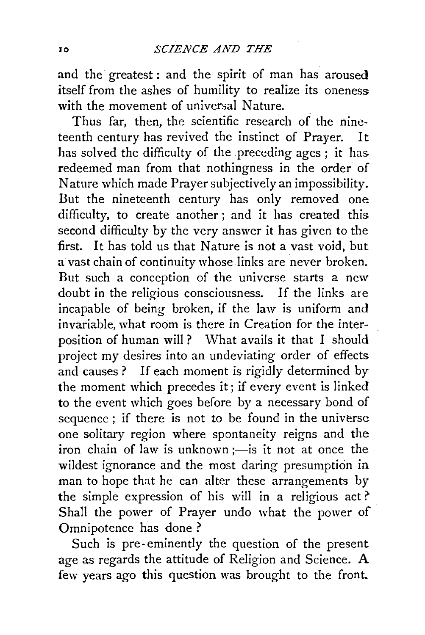and the greatest : and the spirit of man has aroused itself from the ashes of humility to realize its oneness with the movement of universal Nature.

Thus far, then, the scientific research of the nineteenth century has revived the instinct of Prayer. It has solved the difficulty of the preceding ages: it has redeemed man from that nothingness in the order of Nature which made Prayer subjectively an impossibility. But the nineteenth century has only removed one difficulty, to create another ; and it has created this second difficulty by the very answer it has given to the first. It has told us that Nature is not a vast void, but a vast chain of continuity whose links are never broken. But such a conception of the universe starts a new doubt in the religious consciousness. If the links are incapable of being broken, if the law is uniform and invariable, what room is there in Creation for the interposition of human will? What avails it that I should project my desires into an undeviating order of effects and causes ? If each moment is rigidly determined by the moment which precedes it; if every event is linked to the event which goes before by a necessary bond of sequence ; if there is not to be found in the universe one solitary region where spontaneity reigns and the iron chain of law is unknown  $=$  is it not at once the wildest ignorance and the most daring presumption in man to hope that he can alter these arrangements by the simple expression of his will in a religious act?' Shall the power of Prayer undo what the power of Omnipotence has done?

Such is pre- eminently the question of the present age as regards the attitude of Religion and Science. A few years ago this question was brought to the front.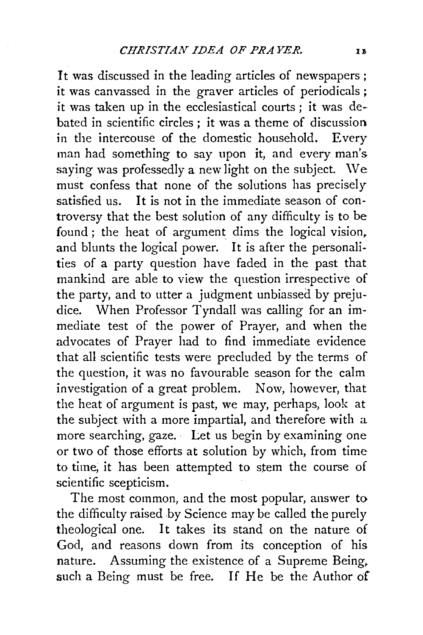It was discussed in the leading articles of newspapers ; it was canvassed in the graver articles of periodicals ; it was taken up in the ecclesiastical courts; it was debated in scientific circles ; it was a theme of discussion in the intercouse of the domestic household. Every man had something to say upon it, and every man's saying was professedly a new light on the subject. \Ve must confess that none of the solutions has precisely satisfied us. It is not in the immediate season of controversy that the best solution of any difficulty is to be found ; the heat of argument dims the logical vision, and blunts the logical power. It is after the personalities of a party question have faded in the past that mankind are able to view the question irrespective of the party, and to utter a judgment unbiassed by prejudice. When Professor Tyndall was calling for an immediate test of the power of Prayer, and when the advocates of Prayer had to find immediate evidence that all scientific tests were precluded by the terms of the question, it was no favourable season for the calm investigation of a great problem. Now, however, that the heat of argument is past, we may, perhaps, look at the subject with a more impartial, and therefore with a more searching, gaze. Let us begin by examining one or two of those efforts at solution by which, from time to time, it has been attempted to stem the course of scientific scepticism.

The most common, and the most popular, answer to the difficulty raised by Science may be called the purely theological one. It takes its stand on the nature of God, and reasons down from its conception of his nature. Assuming the existence of a Supreme Being, such a Being must be free. If He be the Author of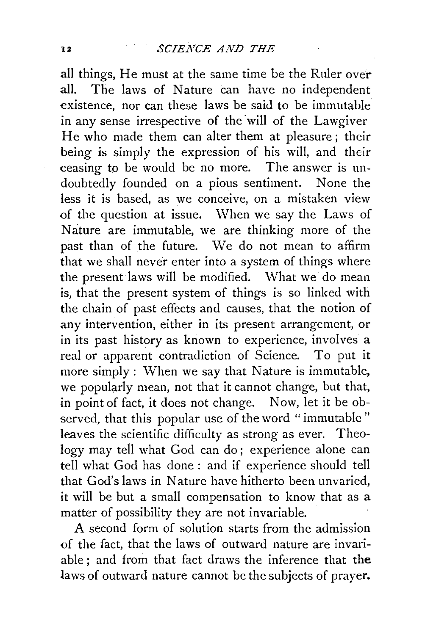all things, He must at the same time be the Ruler over all. The laws of Nature can have no independent existence, nor can these laws be said to be immutable in any sense irrespective of the will of the Lawgiver He who made them can alter them at pleasure; their being is simply the expression of his will, and their ceasing to be would be no more. The answer is undoubtedly founded on a pious sentiment. None the less it is based, as we conceive, on a mistaken view of the question at issue. When we say the Laws of Nature are immutable, we are thinking more of the past than of the future. We do not mean to affirm that we shall never enter into a system of things where the present laws will be modified. What we do mean is, that the present system of things is so linked with the chain of past effects and causes, that the notion of any intervention, either in its present arrangement, or in its past history as known to experience, involves a real or apparent contradiction of Science. To put it more simply : When we say that Nature is immutable, we popularly mean, not that it cannot change, but that, in point of fact, it does not change. Now, let it be observed, that this popular use of the word "immutable" leaves the scientific difficulty as strong as ever. Theology may tell what God can do; experience alone can tell what God has done : and if experience should tell that God's laws in Nature have hitherto been unvaried, it will be but a small compensation to know that as a matter of possibility they are not invariable.

A second form of solution starts from the admission *<>f* the fact, that the laws of outward nature are invariable ; and from that fact draws the inference that **the**  laws of outward nature cannot be the subjects of prayer.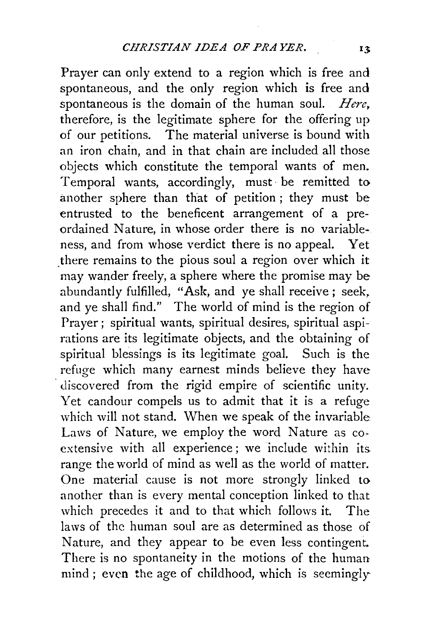Prayer can only extend to a region which is free and spontaneous, and the only region which is free and spontaneous is the domain of the human soul. *Here*, therefore, is the legitimate sphere for the offering up of our petitions. The material universe is bound with an iron chain, and in that chain are included all those objects which constitute the temporal wants of men. Temporal wants, accordingly, must· be remitted to another sphere than that of petition; they must be entrusted to the beneficent arrangement of a preordained Nature, in whose order there is no variableness, and from whose verdict there is no appeal. Yet there remains to the pious soul a region over which it may wander freely, a sphere where the promise may be abundantly fulfilled, "Ask, and ye shall receive ; seek, and ye shall find." The world of mind is the region of Prayer; spiritual wants, spiritual desires, spiritual aspirations are its legitimate objects, and the obtaining of spiritual blessings is its legitimate goal. Such is the refuge which many earnest minds believe they have discovered from the rigid empire of scientific unity. Yet candour compels us to admit that it is a refuge which will not stand. When we speak of the invariable Laws of Nature, we employ the word Nature as coextensive with all experience; we include within its. range the world of mind as well as the world of matter. One material cause is not more strongly linked to another than is every mental conception linked to that which precedes it and to that which follows it. The laws of the human soul are as determined as those of Nature, and they appear to be even less contingent. There is no spontaneity in the motions of the human mind; even the age of childhood, which is seemingly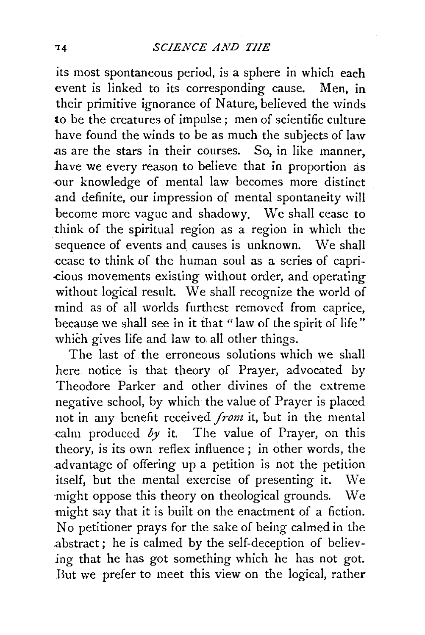its most spontaneous period, is a sphere in which each event is linked to its corresponding cause. Men, in their primitive ignorance of Nature, believed the winds to be the creatures of impulse; men of scientific culture have found the winds to be as much the subjects of law .as are the stars in their courses. So, in like manner, have we every reason to believe that in proportion as ·our knowledge of mental law becomes more distinct .and definite, our impression of mental spontaneity will become more vague and shadowy. We shall cease to think of the spiritual region as a region in which the sequence of events and causes is unknown. We shall cease to think of the human soul as a series of capri-.cious movements existing without order, and operating without logical result. We shall recognize the world of mind as of all worlds furthest removed from caprice, because we shall see in it that "law of the spirit of life" which gives life and law to all other things.

The last of the erroneous solutions which we shall here notice is that theory of Prayer, advocated by Theodore Parker and other divines of the extreme negative school, by which the value of Prayer is placed not in any benefit received *front* it, but in the mental calm produced  $b\psi$  it. The value of Prayer, on this theory, is its own reflex influence; in other words, the .ad vantage of offering up a petition is not the petition itself, but the mental exercise of presenting it. We might oppose this theory on theological grounds. We might say that it is built on the enactment of a fiction. No petitioner prays for the sake of being calmed in the .abstract; he is calmed by the self-deception of believing that he has got something which he has not got. But we prefer to meet this view on the logical, rather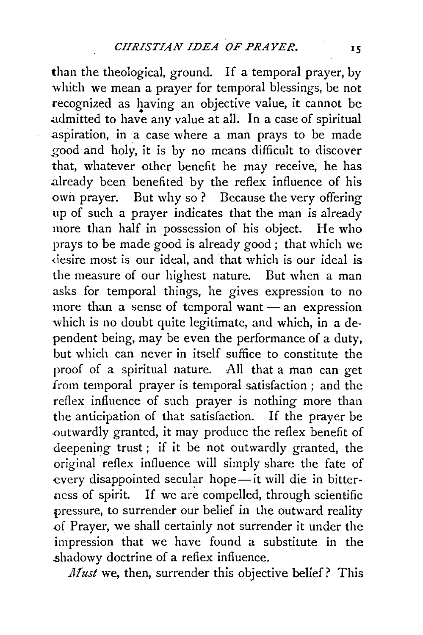than the theological, ground. If a temporal prayer, by which we mean a prayer for temporal blessings, be not recognized as having an objective value, it cannot be admitted to have any value at all. In a case of spiritual aspiration, in a case where a man prays to be made good and holy, it is by no means difficult to discover that, whatever other benefit he may receive, he has .already been benefited by the reflex influence of his own prayer. But why so ? Because the very offering up of such a prayer indicates that the man is already more than half in possession of his object. He who prays to be made good is already good; that which we ·desire most is our ideal, and that which is our ideal is the measure of our highest nature. But when a man asks for temporal things, he gives expression to no more than a sense of temporal want $-$  an expression which is no doubt quite legitimate, and which, in a dependent being, may be even the performance of a duty, but which can never in itself suffice to constitute the proof of a spiritual nature. All that a man can get from temporal prayer is temporal satisfaction; and the reflex influence of such prayer is nothing more than the anticipation of that satisfaction. If the prayer be .outwardly granted, it may produce the reflex benefit of deepening trust; if it be not outwardly granted, the -original reflex influence will simply share the fate of every disappointed secular hope—it will die in bitterness of spirit. If we are compelled, through scientific pressure, to surrender our belief in the outward reality .of Prayer, we shall certainly not surrender it under the impression that we have found a substitute in the .shadowy doctrine of a reflex influence.

*Must* we, then, surrender this objective belief? This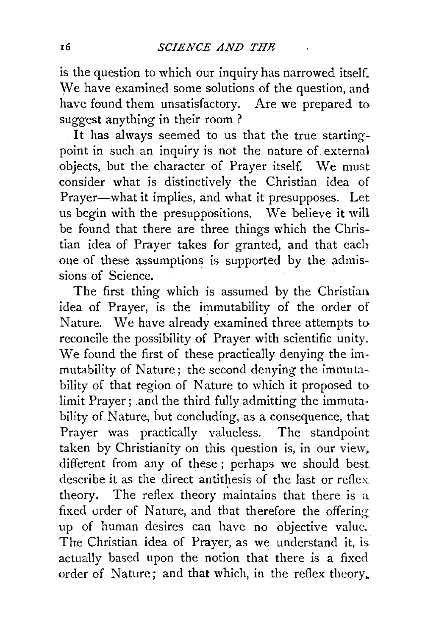is the question to which our inquiry has narrowed itself. We have examined some solutions of the question, and have found them unsatisfactory. Are we prepared to suggest anything in their room ?

It has always seemed to us that the true startingpoint in such an inquiry is not the nature of externa\ objects, but the character of Prayer itself. We must consider what is distinctively the Christian idea of Prayer-what it implies, and what it presupposes. Let us begin with the presuppositions. We believe it will be found that there are three things which the Christian idea of Prayer takes for granted, and that each one of these assumptions is supported by the admissions of Science.

The first thing which is assumed by the Christian idea of Prayer, is the immutability of the order of Nature. We have already examined three attempts to reconcile the possibility of Prayer with scientific unity. We found the first of these practically denying the immutability of Nature; the second denying the immutability of that region of Nature to which it proposed to limit Prayer; and the third fully admitting the immutability of Nature, but concluding, as a consequence, that Prayer was practically valueless. The standpoint taken by Christianity on this question is, in our view. different from any of these ; perhaps we should best describe it as the direct antithesis of the last or reflex theory. The reflex theory maintains that there is a. fixed order of Nature, and that therefore the offering up of human desires can have no objective value. The Christian idea of Prayer, as we understand it, isactually based upon the notion that there is a fixed order of Nature; and that which, in the reflex theory,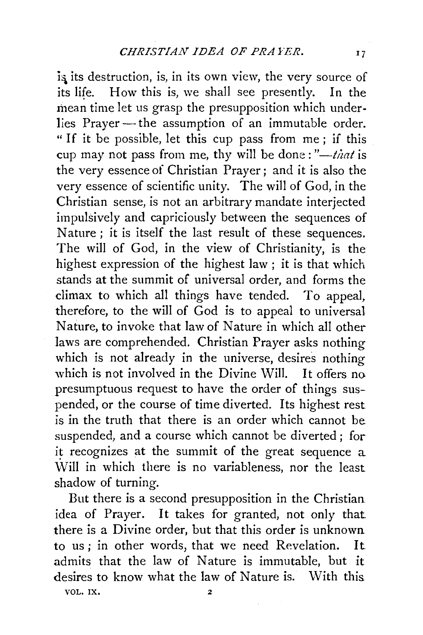is its destruction, is, in its own view, the very source of its life. How this is, we shall see presently. In the mean time let us grasp the presupposition which underlies Prayer - the assumption of an immutable order. " If it be possible, let this cup pass from me ; if this cup may not pass from me, thy will be done:"-that is the very essence of Christian Prayer; and it is also the very essence of scientific unity. The will of God, in the Christian sense, is not an arbitrary mandate interjected impulsively and capriciously between the sequences of Nature ; it is itself the last result of these sequences. The will of God, in the view of Christianity, is the highest expression of the highest law ; it is that which stands at the summit of universal order, and forms the climax to which all things have tended. To appeal, therefore, to the will of God is to appeal to universal Nature, to invoke that law of Nature in which all other laws are comprehended. Christian Prayer asks nothing which is not already in the universe, desires nothing which is not involved in the Divine Will. It offers no presumptuous request to have the order of things suspended, or the course of time diverted. Its highest rest is in the truth that there is an order which cannot be suspended, and a course which cannot be diverted ; for it recognizes at the summit of the great sequence a Will in which there is no variableness, nor the least shadow of turning.

But there is a second presupposition in the Christian idea of Prayer. It takes for granted, not only that there is a Divine order, but that this order is unknown to us ; in other words, that we need Revelation. It admits that the law of Nature is immutable, but it desires to know what the law of Nature is. With this. VOL. IX. 2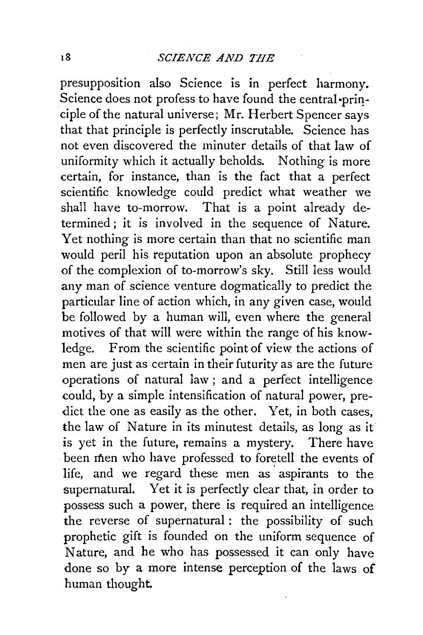presupposition also Science is in perfect harmony. Science does not profess to have found the central ·principle of the natural universe; Mr. Herbert Spencer says that that principle is perfectly inscrutable. Science has not even discovered the minuter details of that law of uniformity which it actually beholds. Nothing is more certain, for instance, than is the fact that a perfect scientific knowledge could predict what weather we shall have to-morrow. That is a point already determined; it is involved in the sequence of Nature. Yet nothing is more certain than that no scientific man would peril his reputation upon an absolute prophecy of the complexion of to-morrow's sky. Still less would any man of science venture dogmatically to predict the particular line of action which, in any given case, would be followed by a human will, even where the general motives of that will were within the range of his knowledge. From the scientific point of view the actions of men are just as certain in their futurity as are the future operations of natural law; and a perfect intelligence could, by a simple intensification of natural power, predict the one as easily as the other. Yet, in both cases, the law of Nature in its minutest details, as long as it is yet in the future, remains a mystery. There have been men who have professed to foretell the events of life, and we regard these men as aspirants to the supernatural. Yet it is perfectly clear that, in order to possess such a power, there is required an intelligence the reverse of supernatural : the possibility of such prophetic gift is founded on the uniform sequence of Nature, and he who has possessed it can only have done so by a more intense perception of the laws of human thought.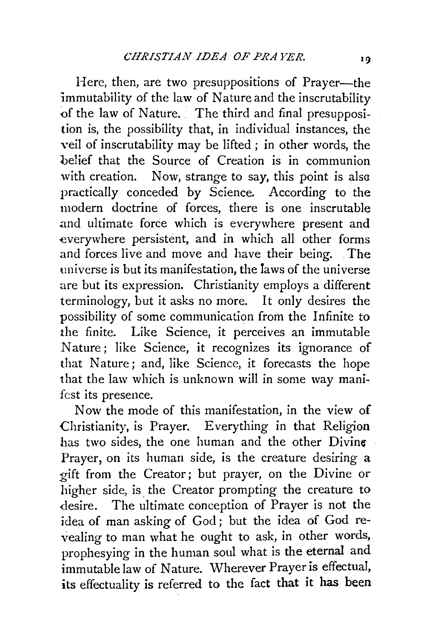Here, then, are two presuppositions of Prayer-the immutability of the law of Nature and the inscrutability of the law of Nature. The third and final presupposition is, the possibility that, in individual instances, the veil of inscrutability may be lifted ; in other words, the belief that the Source of Creation is in communion with creation. Now, strange to say, this point is also practically conceded by Science. According to the modern doctrine of forces, there is one inscrutable and ultimate force which is everywhere present and everywhere persistent, and in which all other forms and forces live and move and have their being. The universe is but its manifestation, the laws of the universe are but its expression. Christianity employs a different terminology, but it asks no more. It only desires the possibility of some communication from the Infinite to the finite. Like Science, it perceives an immutable Nature; like Science, it recognizes its ignorance of that Nature ; and, like Science, it forecasts the hope that the law which is unknown will in some way manifest its presence.

Now the mode of this manifestation, in the view of Christianity, is Prayer. Everything in that Religion has two sides, the one human and the other  $Divin$ Prayer, on its human side, is the creature desiring a gift from the Creator; but prayer, on the Divine or higher side, is the Creator prompting the creature to desire. The ultimate conception of Prayer is not the idea of man asking of God; but the idea of God revealing to man what he ought to ask, in other words, prophesying in the human soul what is the eternal and immutable law of Nature. Wherever Prayer is effectual, its effectuality is referred to the fact that it has been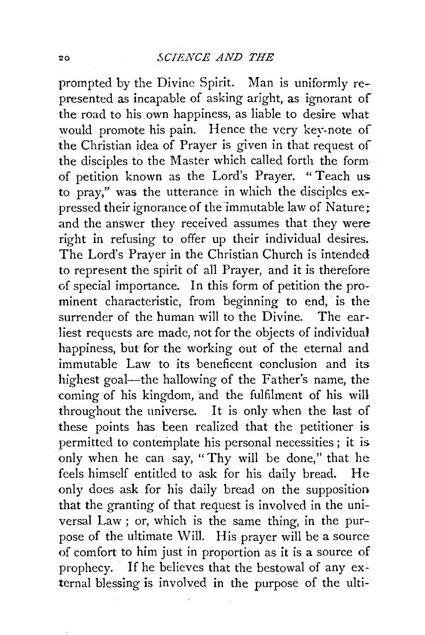prompted by the Divine Spirit. Man is uniformly represented as incapable of asking aright, as ignorant of the road to his own happiness, as liable to desire what would promote his pain. Hence the very key-note of the Christian idea of Prayer is given in that request of the disciples to the Master which called forth the form of petition known as the Lord's Prayer. "Teach us to pray," was the utterance in which the disciples expressed their ignorance of the immutable law of Nature; and the answer they received assumes that they were right in refusing to offer up their individual desires. The Lord's Prayer in the Christian Church is intended to represent the splrit of all Prayer, and it is therefore of special importance. In this form of petition the prominent characteristic, from beginning to end, is the surrender of the human will to the Divine. The earliest requests are made, not for the objects of individual happiness, but for the working out of the eternal and immutable Law to its beneficent conclusion and its highest goal—the hallowing of the Father's name, the coming of his kingdom, and the fulfilment of his will throughout the universe. It is only when the last of these points has been realized that the petitioner is permitted to contemplate his personal necessities; it is only when he can say, "Thy will be done," that he feels himself entitled to ask for his daily bread. He only does ask for his daily bread on the supposition that the granting of that request is involved in the universal Law ; or, which is the same thing, in the purpose of the ultimate Will. His prayer will be a source of comfort to him just in proportion as it is a source of prophecy. If he believes that the bestowal of any external blessing is involved in the purpose of the ulti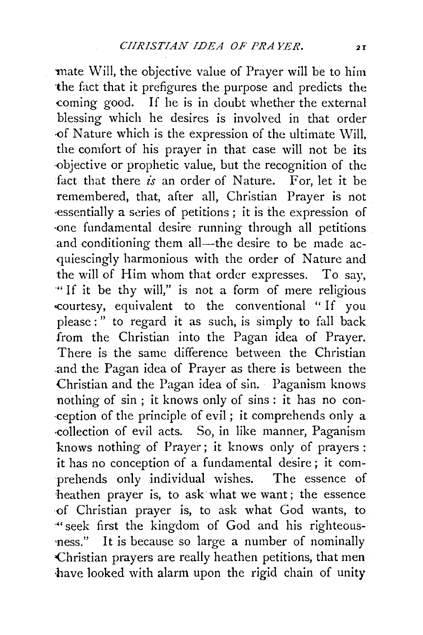mate Will, the objective value of Prayer will be to him ·the fact that it prefigures the purpose and predicts the coming good. If he is in doubt whether the external blessing which he desires is involved in that order -0f Nature which is the expression of the ultimate Will, the comfort of his prayer in that case will not be its ·-Objective or prophetic value, but the recognition of the fact that there is an order of Nature. For, let it be remembered, that, after all, Christian Prayer is not -essentially a series of petitions ; it is the expression of ·one fundamental desire running through all petitions and conditioning them all—the desire to be made acquiescingly harmonious with the order of Nature and the will of Him whom that order expresses. To say, "If it be thy will," is not a form of mere religious -courtesy, equivalent to the conventional " If you please : " to regard it as such, is simply to fall back from the Christian into the Pagan idea of Prayer. There is the same difference between the Christian .and the Pagan idea of Prayer as there is between the Christian and the Pagan idea of sin. Paganism knows nothing of sin ; it knows only of sins: it has no con- ·ception of the principle of evil ; it comprehends only a -collection of evil acts. So, in like manner, Paganism knows nothing of Prayer; it knows only of prayers : it has no conception of a fundamental desire ; it comprehends only individual wishes. The essence of heathen prayer is, to ask what we want; the essence -0f Christian prayer is, to ask what God wants, to ·«seek first the kingdom of God and his righteous- 'ness." It is because so large a number of nominally :Christian prayers are really heathen petitions, that men have looked with alarm upon the rigid chain of unity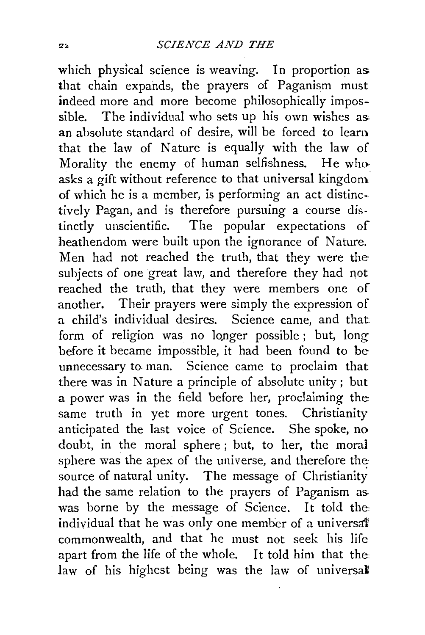which physical science is weaving. In proportion as that chain expands, the prayers of Paganism must indeed more and more become philosophically impossible. The individual who sets up his own wishes as: an absolute standard of desire, will be forced to learn that the law of Nature is equally with the law of Morality the enemy of human selfishness. He who. asks a gift without reference to that universal kingdom of which he is a member, is performing an act distinc- tively Pagan, and is therefore pursuing a course distinctly unscientific. The popular expectations of heathendom were built upon the ignorance of Nature. Men had not reached the truth, that they were the subjects of one great law, and therefore they had not reached the truth, that they were members one of another. Their prayers were simply the expression of a child's individual desires. Science came, and that form of religion was no longer possible; but, long before it became impossible, it had been found to be unnecessary to man. Science came to proclaim that there was in Nature a principle of absolute unity; but a power was in the field before her, proclaiming the: same truth in yet more urgent tones. Christianity anticipated the last voice of Science. She spoke, no doubt, in the moral sphere ; but, to her, the moral sphere was the apex of the universe, and therefore the source of natural unity. The message of Christianity had the same relation to the prayers of Paganism as. was borne by the message of Science. It told the individual that he was only one member of a universal commonwealth, and that he must not seek his life apart from the life of the whole. It told him that the law of his highest being was the law of universal